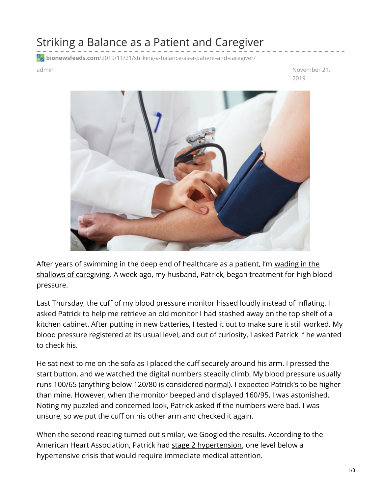## Striking a Balance as a Patient and Caregiver

**bionewsfeeds.com**[/2019/11/21/striking-a-balance-as-a-patient-and-caregiver/](https://bionewsfeeds.com/2019/11/21/striking-a-balance-as-a-patient-and-caregiver/)

admin November 21, 2019



After years of swimming in the deep end of healthcare as a patient, I'm wading in the shallows of [caregiving.](https://ibdnewstoday.com/2019/06/06/caregiving-sickness-health/) A week ago, my husband, Patrick, began treatment for high blood pressure.

Last Thursday, the cuff of my blood pressure monitor hissed loudly instead of inflating. I asked Patrick to help me retrieve an old monitor I had stashed away on the top shelf of a kitchen cabinet. After putting in new batteries, I tested it out to make sure it still worked. My blood pressure registered at its usual level, and out of curiosity, I asked Patrick if he wanted to check his.

He sat next to me on the sofa as I placed the cuff securely around his arm. I pressed the start button, and we watched the digital numbers steadily climb. My blood pressure usually runs 100/65 (anything below 120/80 is considered [normal](https://www.heart.org/en/health-topics/high-blood-pressure/understanding-blood-pressure-readings)). I expected Patrick's to be higher than mine. However, when the monitor beeped and displayed 160/95, I was astonished. Noting my puzzled and concerned look, Patrick asked if the numbers were bad. I was unsure, so we put the cuff on his other arm and checked it again.

When the second reading turned out similar, we Googled the results. According to the American Heart Association, Patrick had stage 2 [hypertension](https://www.mayoclinic.org/diseases-conditions/high-blood-pressure/diagnosis-treatment/drc-20373417), one level below a hypertensive crisis that would require immediate medical attention.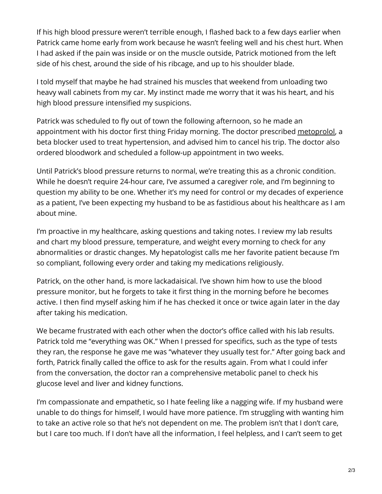If his high blood pressure weren't terrible enough, I flashed back to a few days earlier when Patrick came home early from work because he wasn't feeling well and his chest hurt. When I had asked if the pain was inside or on the muscle outside, Patrick motioned from the left side of his chest, around the side of his ribcage, and up to his shoulder blade.

I told myself that maybe he had strained his muscles that weekend from unloading two heavy wall cabinets from my car. My instinct made me worry that it was his heart, and his high blood pressure intensified my suspicions.

Patrick was scheduled to fly out of town the following afternoon, so he made an appointment with his doctor first thing Friday morning. The doctor prescribed [metoprolol](https://www.drugs.com/metoprolol.html), a beta blocker used to treat hypertension, and advised him to cancel his trip. The doctor also ordered bloodwork and scheduled a follow-up appointment in two weeks.

Until Patrick's blood pressure returns to normal, we're treating this as a chronic condition. While he doesn't require 24-hour care, I've assumed a caregiver role, and I'm beginning to question my ability to be one. Whether it's my need for control or my decades of experience as a patient, I've been expecting my husband to be as fastidious about his healthcare as I am about mine.

I'm proactive in my healthcare, asking questions and taking notes. I review my lab results and chart my blood pressure, temperature, and weight every morning to check for any abnormalities or drastic changes. My hepatologist calls me her favorite patient because I'm so compliant, following every order and taking my medications religiously.

Patrick, on the other hand, is more lackadaisical. I've shown him how to use the blood pressure monitor, but he forgets to take it first thing in the morning before he becomes active. I then find myself asking him if he has checked it once or twice again later in the day after taking his medication.

We became frustrated with each other when the doctor's office called with his lab results. Patrick told me "everything was OK." When I pressed for specifics, such as the type of tests they ran, the response he gave me was "whatever they usually test for." After going back and forth, Patrick finally called the office to ask for the results again. From what I could infer from the conversation, the doctor ran a comprehensive metabolic panel to check his glucose level and liver and kidney functions.

I'm compassionate and empathetic, so I hate feeling like a nagging wife. If my husband were unable to do things for himself, I would have more patience. I'm struggling with wanting him to take an active role so that he's not dependent on me. The problem isn't that I don't care, but I care too much. If I don't have all the information, I feel helpless, and I can't seem to get